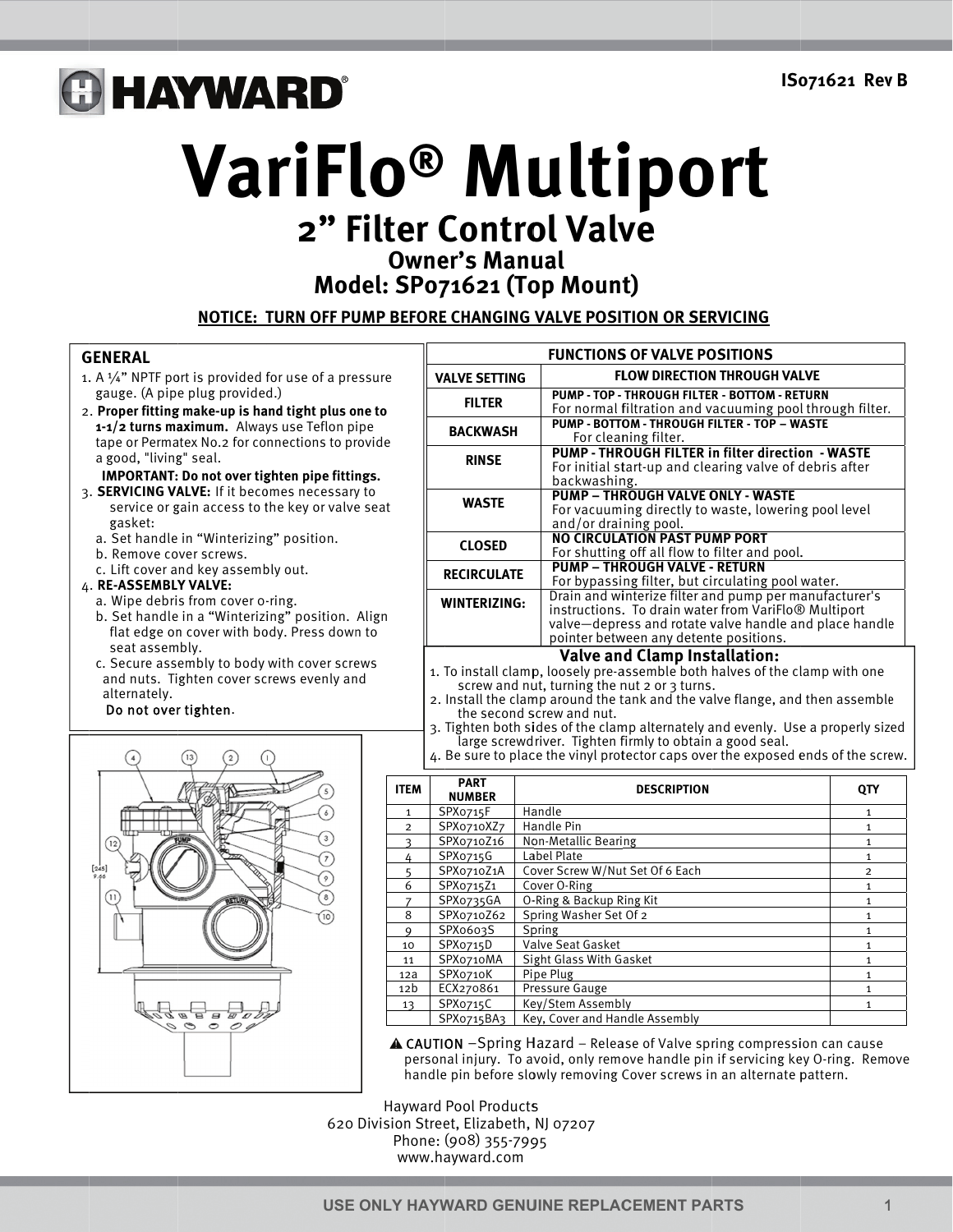# **GHAYWARD®**

VariFlo<sup>®</sup> Multiport 2" Filter Control Valve

**Owner's Manual** 

Model: SP071621 (Top Mount)

NOTICE: TURN OFF PUMP BEFORE CHANGING VALVE POSITION OR SERVICING

## **GENERAL**

- 1. A  $\frac{1}{4}$ " NPTF port is provided for use of a pressure gauge. (A pipe plug provided.)
- 2. Proper fitting make-up is hand tight plus one to 1-1/2 turns maximum. Always use Teflon pipe tape or Permatex No.2 for connections to provide a good, "living" seal.

## **IMPORTANT: Do not over tighten pipe fittings.**

- 3. SERVICING VALVE: If it becomes necessary to service or gain access to the key or valve seat gasket:
	- a. Set handle in "Winterizing" position.
	- b. Remove cover screws.
	- c. Lift cover and key assembly out.

## 4. RE-ASSEMBLY VALVE:

- a. Wipe debris from cover o-ring. b. Set handle in a "Winterizing" position. Align flat edge on cover with body. Press down to seat assembly.
- c. Secure assembly to body with cover screws and nuts. Tighten cover screws evenly and alternately.

#### Do not over tighten.



| <b>FUNCTIONS OF VALVE POSITIONS</b> |                                                                                                                                                                                                                                |  |  |  |  |  |  |  |
|-------------------------------------|--------------------------------------------------------------------------------------------------------------------------------------------------------------------------------------------------------------------------------|--|--|--|--|--|--|--|
| <b>VALVE SETTING</b>                | <b>FLOW DIRECTION THROUGH VALVE</b>                                                                                                                                                                                            |  |  |  |  |  |  |  |
| <b>FILTER</b>                       | PUMP - TOP - THROUGH FILTER - BOTTOM - RETURN<br>For normal filtration and vacuuming pool through filter.                                                                                                                      |  |  |  |  |  |  |  |
| <b>BACKWASH</b>                     | PUMP - BOTTOM - THROUGH FILTER - TOP - WASTE<br>For cleaning filter.                                                                                                                                                           |  |  |  |  |  |  |  |
| <b>RINSE</b>                        | <b>PUMP - THROUGH FILTER in filter direction - WASTE</b><br>For initial start-up and clearing valve of debris after<br>backwashing.                                                                                            |  |  |  |  |  |  |  |
| <b>WASTE</b>                        | <b>PUMP - THROUGH VALVE ONLY - WASTE</b><br>For vacuuming directly to waste, lowering pool level<br>and/or draining pool.                                                                                                      |  |  |  |  |  |  |  |
| <b>CLOSED</b>                       | <b>NO CIRCULATION PAST PUMP PORT</b><br>For shutting off all flow to filter and pool.                                                                                                                                          |  |  |  |  |  |  |  |
| <b>RECIRCULATE</b>                  | <b>PUMP - THROUGH VALVE - RETURN</b><br>For bypassing filter, but circulating pool water.                                                                                                                                      |  |  |  |  |  |  |  |
| <b>WINTERIZING:</b>                 | Drain and winterize filter and pump per manufacturer's<br>instructions. To drain water from VariFlo <sup>®</sup> Multiport<br>valve-depress and rotate valve handle and place handle<br>pointer between any detente positions. |  |  |  |  |  |  |  |
| Mahaa amal Clanco Installati        |                                                                                                                                                                                                                                |  |  |  |  |  |  |  |

## Valve and Clamp Installation:

- 1. To install clamp, loosely pre-assemble both halves of the clamp with one screw and nut, turning the nut 2 or 3 turns.
- 2. Install the clamp around the tank and the valve flange, and then assemble the second screw and nut.
- 3. Tighten both sides of the clamp alternately and evenly. Use a properly sized large screwdriver. Tighten firmly to obtain a good seal.
- 4. Be sure to place the vinyl protector caps over the exposed ends of the screw.

| <b>ITEM</b>     | <b>PART</b><br><b>NUMBER</b> | <b>DESCRIPTION</b>              | QTY |
|-----------------|------------------------------|---------------------------------|-----|
| $\mathbf{1}$    | SPXo715F                     | Handle                          | 1   |
| $\overline{2}$  | SPXo710XZ7                   | Handle Pin                      | 1   |
| ς               | SPX0710Z16                   | Non-Metallic Bearing            | 1   |
| 4               | SPXo715G                     | Label Plate                     | 1   |
|                 | SPX0710Z1A                   | Cover Screw W/Nut Set Of 6 Each | 2   |
| 6               | SPX0715Z1                    | Cover O-Ring                    | 1   |
| 7               | SPX0735GA                    | O-Ring & Backup Ring Kit        | 1   |
| 8               | SPX0710Z62                   | Spring Washer Set Of 2          | 1   |
| 9               | SPX0603S                     | Spring                          | 1   |
| 10              | SPX0715D                     | Valve Seat Gasket               | 1   |
| 11              | SPXo710MA                    | Sight Glass With Gasket         | 1   |
| 12a             | SPXo710K                     | Pipe Plug                       |     |
| 12 <sub>b</sub> | ECX270861                    | Pressure Gauge                  |     |
| 13              | SPXo715C                     | Key/Stem Assembly               | 1   |
|                 | SPX0715BA3                   | Key, Cover and Handle Assembly  |     |

**A CAUTION** -Spring Hazard - Release of Valve spring compression can cause personal injury. To avoid, only remove handle pin if servicing key O-ring. Remove handle pin before slowly removing Cover screws in an alternate pattern.

**Hayward Pool Products** 620 Division Street, Elizabeth, NJ 07207 Phone: (908) 355-7995 www.havward.com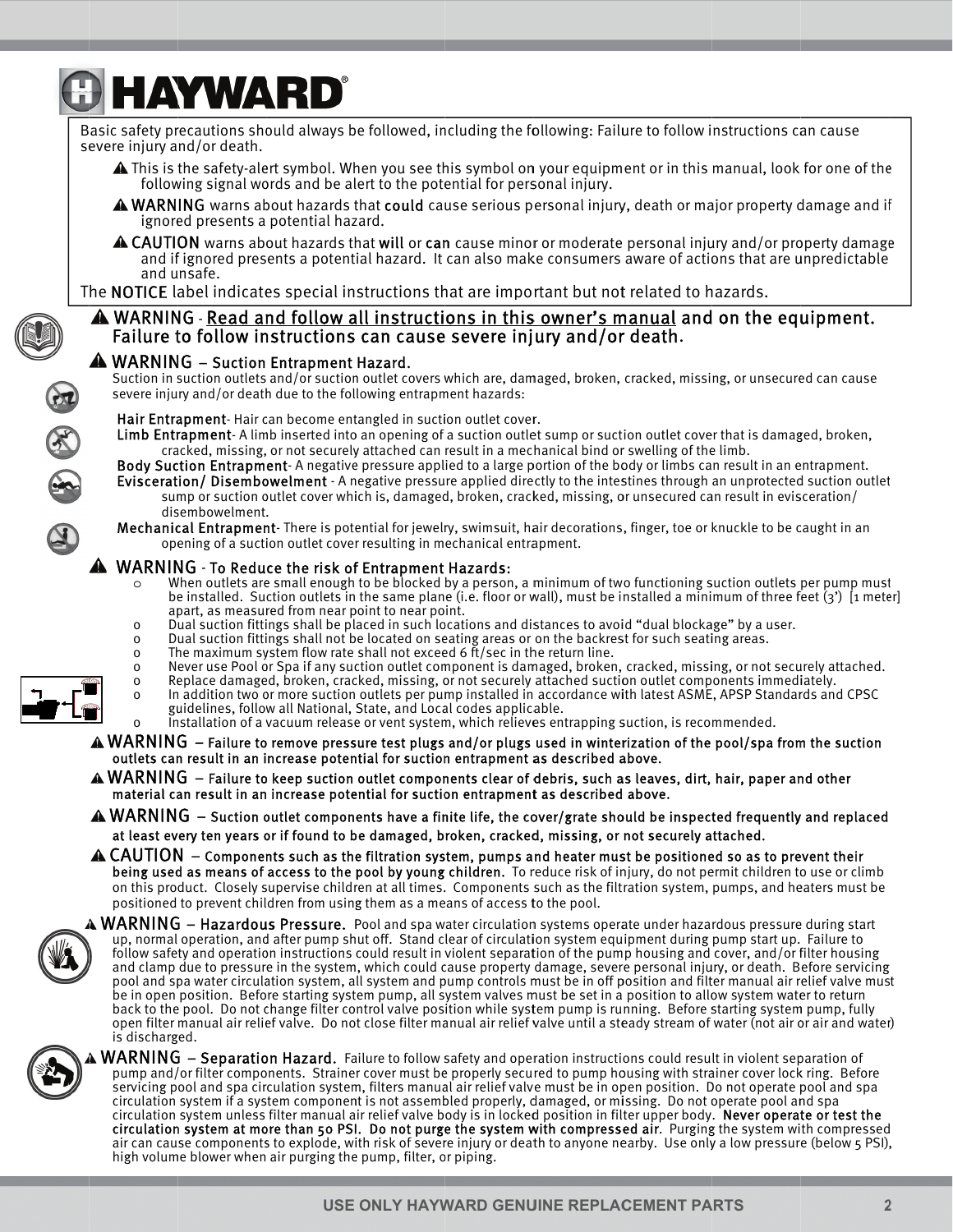# **B HAYWARD®**

Basic safety precautions should always be followed, including the following: Failure to follow instructions can cause severe injury and/or death. ▲ This is the safety-alert symbol. When you see this symbol on your equipment or in this manual, look for one of the following signal words and be alert to the potential for personal injury. A WARNING warns about hazards that could cause serious personal injury, death or major property damage and if ignored presents a potential hazard.  $\triangle$  CAUTION warns about hazards that will or can cause minor or moderate personal injury and/or property damage and if ignored presents a potential hazard. It can also make consumers aware of actions that are unpredictable and unsafe. The NOTICE label indicates special instructions that are important but not related to hazards. A WARNING - Read and follow all instructions in this owner's manual and on the equipment. Failure to follow instructions can cause severe injury and/or death. A WARNING - Suction Entrapment Hazard. Suction in suction outlets and/or suction outlet covers which are, damaged, broken, cracked, missing, or unsecured can cause FR SK severe injury and/or death due to the following entrapment hazards: Hair Entrapment-Hair can become entangled in suction outlet cover. Limb Entrapment-Alimb inserted into an opening of a suction outlet sump or suction outlet cover that is damaged, broken, cracked, missing, or not securely attached can result in a mechanical bind or swelling of the limb. Body Suction Entrapment-A negative pressure applied to a large portion of the body or limbs can result in an entrapment. Evisceration/Disembowelment - A negative pressure applied directly to the intestines through an unprotected suction outlet sump or suction outlet cover which is, damaged, broken, cracked, missing, or unsecured can result in evisceration/ disembowelment. Mechanical Entrapment- There is potential for jewelry, swimsuit, hair decorations, finger, toe or knuckle to be caught in an opening of a suction outlet cover resulting in mechanical entrapment. A WARNING - To Reduce the risk of Entrapment Hazards: When outlets are small enough to be blocked by a person, a minimum of two functioning suction outlets per pump must be installed. Suction outlets in the same plane (i.e. floor or wall), must be installed a minimum of three feet  $(3')$  [1 meter] apart, as measured from near point to near point. Dual suction fittings shall be placed in such locations and distances to avoid "dual blockage" by a user.  $\Omega$ Dual suction fittings shall not be located on seating areas or on the backrest for such seating areas.  $\mathbf 0$ The maximum system flow rate shall not exceed 6 ft/sec in the return line.  $\mathbf 0$ Never use Pool or Spa if any suction outlet component is damaged, broken, cracked, missing, or not securely attached.  $\mathbf 0$  $\mathsf{o}$ Replace damaged, broken, cracked, missing, or not securely attached suction outlet components immediately. In addition two or more suction outlets per pump installed in accordance with latest ASME, APSP Standards and CPSC  $\Omega$ guidelines, follow all National, State, and Local codes applicable. Installation of a vacuum release or vent system, which relieves entrapping suction, is recommended.  $\Omega$  $WARNING - Failure$  to remove pressure test plugs and/or plugs used in winterization of the pool/spa from the suction outlets can result in an increase potential for suction entrapment as described above.

- $\triangle$  WARNING Failure to keep suction outlet components clear of debris, such as leaves, dirt, hair, paper and other material can result in an increase potential for suction entrapment as described above.
- $\triangle$  WARNING  $-$  Suction outlet components have a finite life, the cover/grate should be inspected frequently and replaced at least every ten years or if found to be damaged, broken, cracked, missing, or not securely attached.
- $\triangle$  CAUTION  $-$  Components such as the filtration system, pumps and heater must be positioned so as to prevent their being used as means of access to the pool by young children. To reduce risk of injury, do not permit children to use or climb on this product. Closely supervise children at all times. Components such as the filtration system, pumps, and heaters must be positioned to prevent children from using them as a means of access to the pool.



 $\rm\bf A\,WARNING$   $-$  Hazardous Pressure. Pool and spa water circulation systems operate under hazardous pressure during start up, normal operation, and after pump shut off. Stand clear of circulation system equipment during pump start up. Failure to follow safety and operation instructions could result in violent separation of the pump housing and cover, and/or filter housing and clamp due to pressure in the system, which could cause property damage, severe personal injury, or death. Before servicing pool and spa water circulation system, all system and pump controls must be in off position and filter manual air relief valve must be in open position. Before starting system pump, all system valves must be set in a position to allow system water to return back to the pool. Do not change filter control valve position while system pump is running. Before starting system pump, fully open filter manual air relief valve. Do not close filter manual air relief valve until a steady stream of water (not air or air and water) is discharged.



**WARNING** - Separation Hazard. Failure to follow safety and operation instructions could result in violent separation of pump and/or filter components. Strainer cover must be properly secured to pump housing with strainer cover lock ring. Before servicing pool and spa circulation system, filters manual air relief valve must be in open position. Do not operate pool and spa circulation system if a system component is not assembled properly, damaged, or missing. Do not operate pool and spa circulation system unless filter manual air relief valve body is in locked position in filter upper body. Never operate or test the circulation system at more than 50 PSI. Do not purge the system with compressed air. Purging the system with compressed air can cause components to explode, with risk of severe injury or death to anyone nearby. Use only a low pressure (below 5 PSI), high volume blower when air purging the pump, filter, or piping.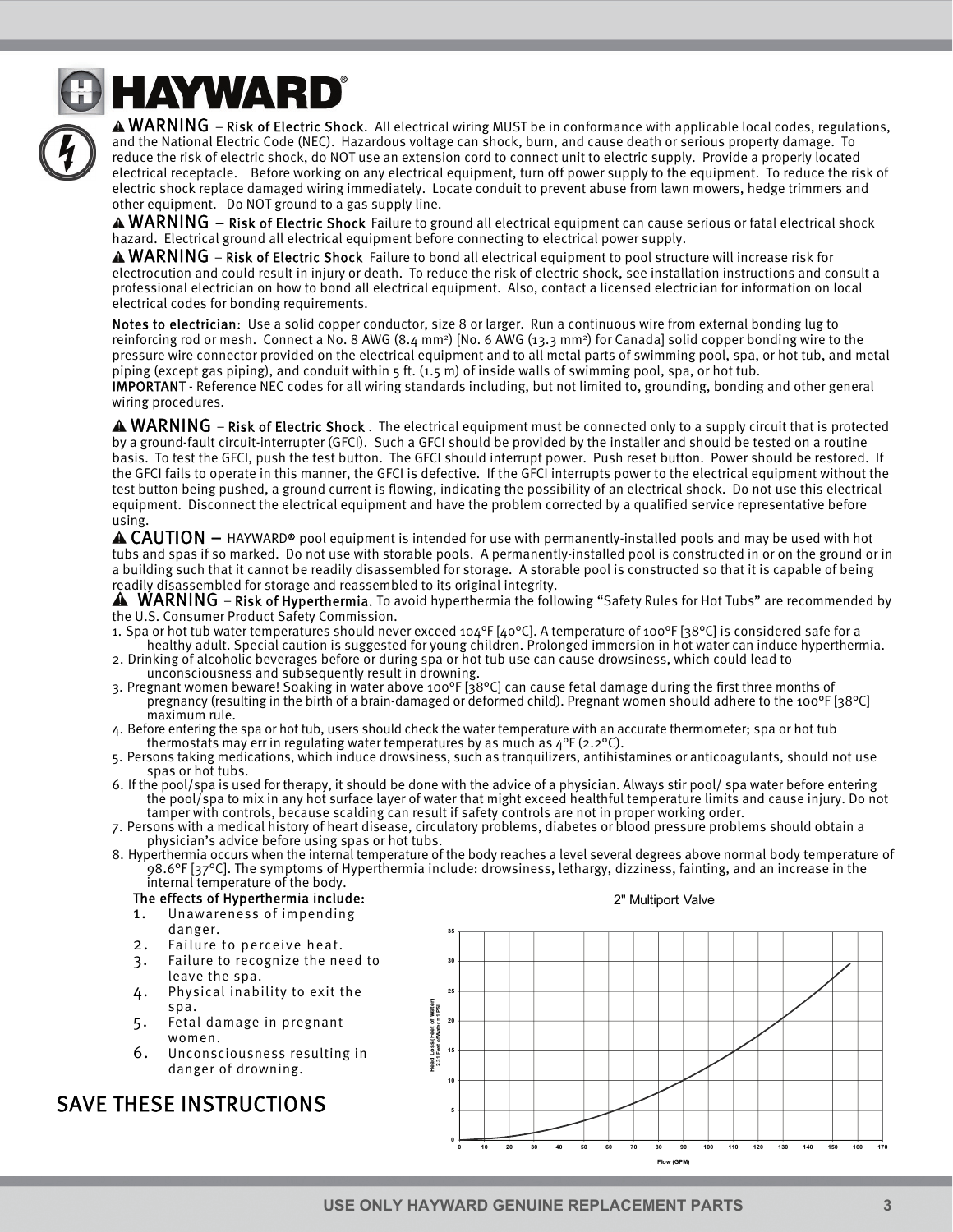

**A HAYWARD**®

 $\triangle$  WARNING – Risk of Electric Shock. All electrical wiring MUST be in conformance with applicable local codes, regulations, and the National Electric Code (NEC). Hazardous voltage can shock, burn, and cause death or serious property damage. To reduce the risk of electric shock, do NOT use an extension cord to connect unit to electric supply. Provide a properly located electrical receptacle. Before working on any electrical equipment, turn off power supply to the equipment. To reduce the risk of electric shock replace damaged wiring immediately. Locate conduit to prevent abuse from lawn mowers, hedge trimmers and other equipment. Do NOT ground to a gas supply line.

 $\triangle$  WARNING – Risk of Electric Shock Failure to ground all electrical equipment can cause serious or fatal electrical shock hazard. Electrical ground all electrical equipment before connecting to electrical power supply.

 $\triangle$  WARNING – Risk of Electric Shock Failure to bond all electrical equipment to pool structure will increase risk for electrocution and could result in injury or death. To reduce the risk of electric shock, see installation instructions and consult a professional electrician on how to bond all electrical equipment. Also, contact a licensed electrician for information on local electrical codes for bonding requirements.

Notes to electrician: Use a solid copper conductor, size 8 or larger. Run a continuous wire from external bonding lug to reinforcing rod or mesh. Connect a No. 8 AWG (8.4 mm<sup>2</sup>) [No. 6 AWG (13.3 mm<sup>2</sup>) for Canada] solid copper bonding wire to the pressure wire connector provided on the electrical equipment and to all metal parts of swimming pool, spa, or hot tub, and metal piping (except gas piping), and conduit within 5 ft. (1.5 m) of inside walls of swimming pool, spa, or hot tub. IMPORTANT - Reference NEC codes for all wiring standards including, but not limited to, grounding, bonding and other general wiring procedures.

 $\triangle$  WARNING – Risk of Electric Shock . The electrical equipment must be connected only to a supply circuit that is protected by a ground-fault circuit-interrupter (GFCI). Such a GFCI should be provided by the installer and should be tested on a routine basis. To test the GFCI, push the test button. The GFCI should interrupt power. Push reset button. Power should be restored. If the GFCI fails to operate in this manner, the GFCI is defective. If the GFCI interrupts power to the electrical equipment without the test button being pushed, a ground current is flowing, indicating the possibility of an electrical shock. Do not use this electrical equipment. Disconnect the electrical equipment and have the problem corrected by a qualified service representative before using.

 $\triangle$  CAUTION  $-$  HAYWARD® pool equipment is intended for use with permanently-installed pools and may be used with hot tubs and spas if so marked. Do not use with storable pools. A permanently-installed pool is constructed in or on the ground or in a building such that it cannot be readily disassembled for storage. A storable pool is constructed so that it is capable of being readily disassembled for storage and reassembled to its original integrity.

 $\triangle$  WARNING – Risk of Hyperthermia. To avoid hyperthermia the following "Safety Rules for Hot Tubs" are recommended by the U.S. Consumer Product Safety Commission.

- 1. Spa or hot tub water temperatures should never exceed 104°F [40°C]. A temperature of 100°F [38°C] is considered safe for a healthy adult. Special caution is suggested for young children. Prolonged immersion in hot water can induce hyperthermia.
- 2. Drinking of alcoholic beverages before or during spa or hot tub use can cause drowsiness, which could lead to unconsciousness and subsequently result in drowning.
- 3. Pregnant women beware! Soaking in water above 100°F [38°C] can cause fetal damage during the first three months of pregnancy (resulting in the birth of a brain-damaged or deformed child). Pregnant women should adhere to the 100°F [38°C] maximum rule.
- 4. Before entering the spa or hot tub, users should check the water temperature with an accurate thermometer; spa or hot tub thermostats may err in regulating water temperatures by as much as  $4^{\circ}F(2.2^{\circ}C)$ .
- 5. Persons taking medications, which induce drowsiness, such as tranquilizers, antihistamines or anticoagulants, should not use spas or hot tubs.
- 6. If the pool/spa is used for therapy, it should be done with the advice of a physician. Always stir pool/ spa water before entering the pool/spa to mix in any hot surface layer of water that might exceed healthful temperature limits and cause injury. Do not tamper with controls, because scalding can result if safety controls are not in proper working order.
- 7. Persons with a medical history of heart disease, circulatory problems, diabetes or blood pressure problems should obtain a physician's advice before using spas or hot tubs.
- 8. Hyperthermia occurs when the internal temperature of the body reaches a level several degrees above normal body temperature of 98.6°F [37°C]. The symptoms of Hyperthermia include: drowsiness, lethargy, dizziness, fainting, and an increase in the internal temperature of the body.

## The effects of Hyperthermia include:

- 1. Unawareness of impending
- danger.
- 2. Failure to perceive heat.
- 3. Failure to recognize the need to leave the spa.
- 4. Physical inability to exit the spa.
- 5. Fetal damage in pregnant women.
- 6. Unconsciousness resulting in danger of drowning.

## SAVE THESE INSTRUCTIONS



**USE ONLY HAYWARD GENUINE REPLACEMENT PARTS 3**